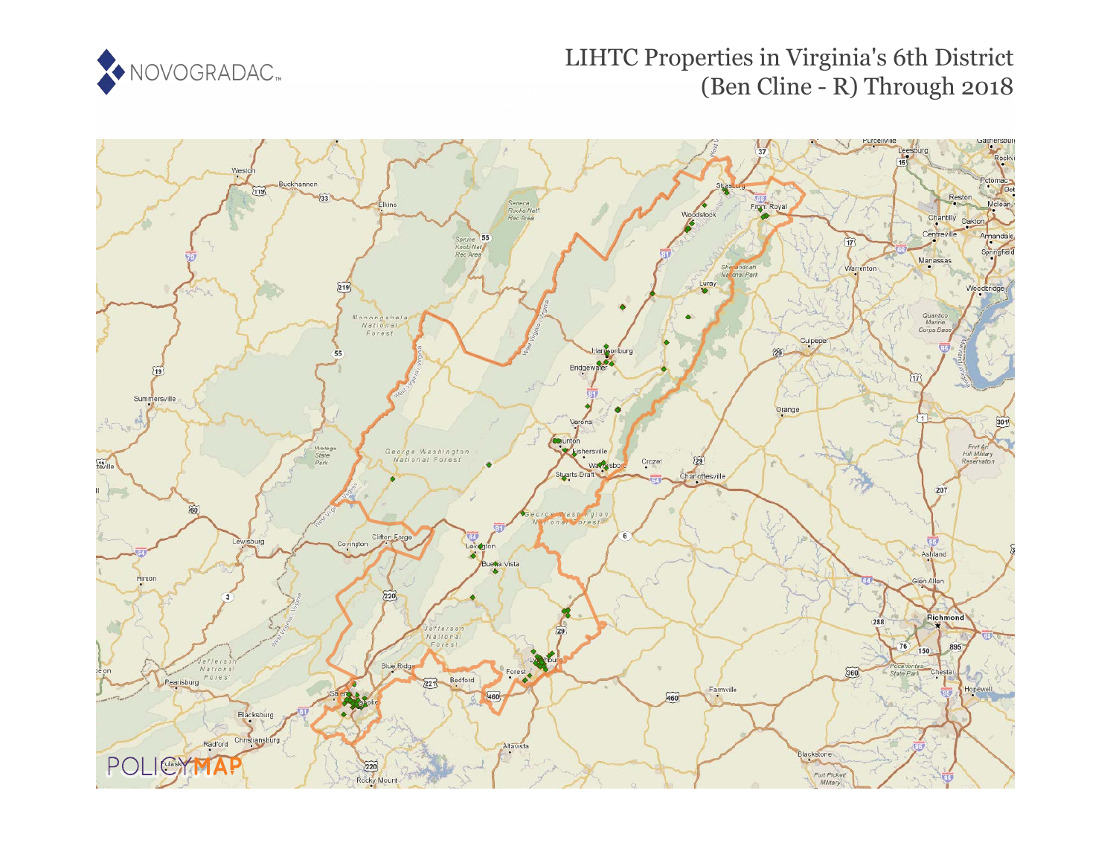

# LIHTC Properties in Virginia's 6th District (Ben Cline - R) Through 2018

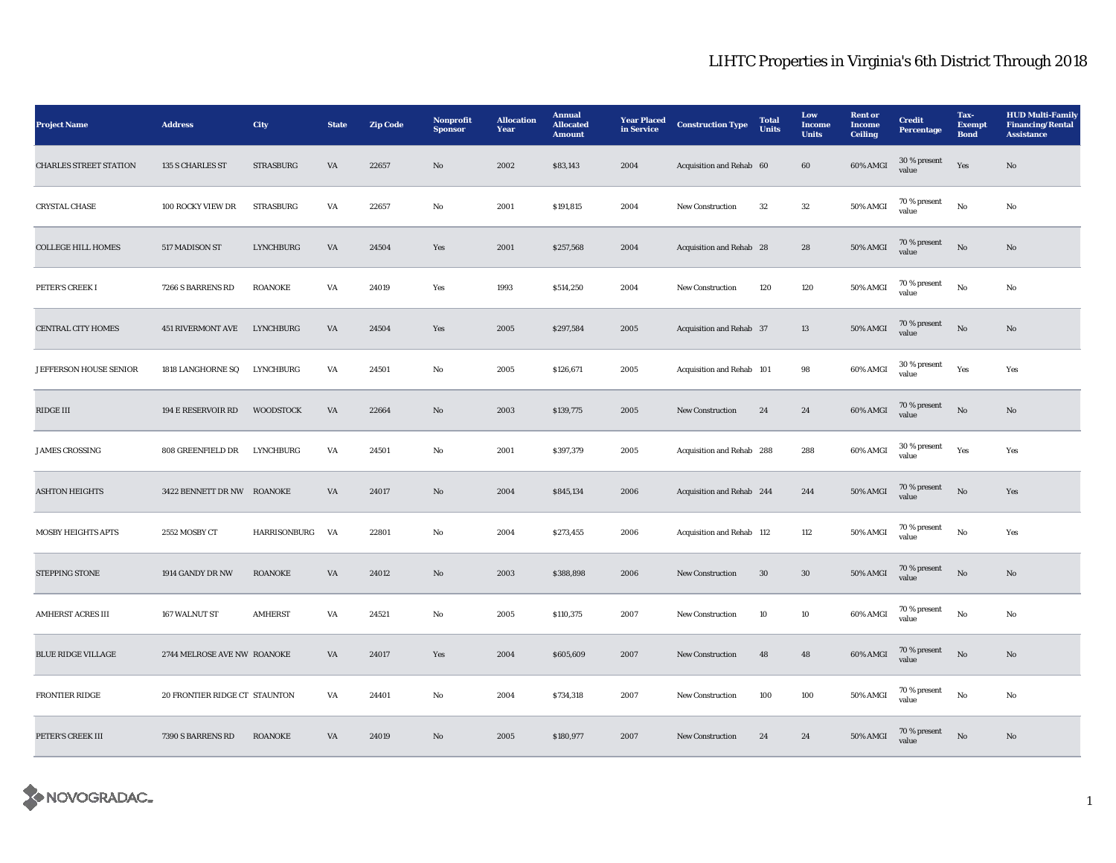| <b>Project Name</b>           | <b>Address</b>                | City                | <b>State</b>           | <b>Zip Code</b> | Nonprofit<br><b>Sponsor</b> | <b>Allocation</b><br>Year | Annual<br><b>Allocated</b><br><b>Amount</b> | <b>Year Placed</b><br>in Service | <b>Construction Type</b>  | <b>Total</b><br><b>Units</b> | Low<br>Income<br><b>Units</b> | <b>Rent</b> or<br><b>Income</b><br><b>Ceiling</b> | <b>Credit</b><br>Percentage | Tax-<br><b>Exempt</b><br><b>Bond</b> | <b>HUD Multi-Family</b><br><b>Financing/Rental</b><br><b>Assistance</b> |
|-------------------------------|-------------------------------|---------------------|------------------------|-----------------|-----------------------------|---------------------------|---------------------------------------------|----------------------------------|---------------------------|------------------------------|-------------------------------|---------------------------------------------------|-----------------------------|--------------------------------------|-------------------------------------------------------------------------|
| <b>CHARLES STREET STATION</b> | 135 S CHARLES ST              | <b>STRASBURG</b>    | VA                     | 22657           | No                          | 2002                      | \$83,143                                    | 2004                             | Acquisition and Rehab 60  |                              | 60                            | 60% AMGI                                          | 30 % present<br>value       | Yes                                  | No                                                                      |
| CRYSTAL CHASE                 | 100 ROCKY VIEW DR             | <b>STRASBURG</b>    | VA                     | 22657           | No                          | 2001                      | \$191,815                                   | 2004                             | <b>New Construction</b>   | 32                           | $32\,$                        | 50% AMGI                                          | 70 % present<br>value       | $_{\rm No}$                          | No                                                                      |
| <b>COLLEGE HILL HOMES</b>     | 517 MADISON ST                | <b>LYNCHBURG</b>    | $\mathbf{V}\mathbf{A}$ | 24504           | Yes                         | 2001                      | \$257,568                                   | 2004                             | Acquisition and Rehab 28  |                              | ${\bf 28}$                    | <b>50% AMGI</b>                                   | 70 % present<br>value       | $\rm No$                             | $\mathbf{N}\mathbf{o}$                                                  |
| PETER'S CREEK I               | 7266 S BARRENS RD             | <b>ROANOKE</b>      | VA                     | 24019           | Yes                         | 1993                      | \$514,250                                   | 2004                             | New Construction          | 120                          | 120                           | 50% AMGI                                          | 70 % present<br>value       | $_{\rm No}$                          | $\mathbf{No}$                                                           |
| CENTRAL CITY HOMES            | <b>451 RIVERMONT AVE</b>      | LYNCHBURG           | VA                     | 24504           | Yes                         | 2005                      | \$297,584                                   | 2005                             | Acquisition and Rehab 37  |                              | 13                            | 50% AMGI                                          | 70 % present<br>value       | $\rm No$                             | $\mathbf{N}\mathbf{o}$                                                  |
| JEFFERSON HOUSE SENIOR        | 1818 LANGHORNE SQ             | LYNCHBURG           | VA                     | 24501           | No                          | 2005                      | \$126,671                                   | 2005                             | Acquisition and Rehab 101 |                              | 98                            | 60% AMGI                                          | 30 % present<br>value       | Yes                                  | Yes                                                                     |
| RIDGE III                     | 194 E RESERVOIR RD            | <b>WOODSTOCK</b>    | VA                     | 22664           | $\mathbf{N}\mathbf{o}$      | 2003                      | \$139,775                                   | 2005                             | New Construction          | 24                           | 24                            | 60% AMGI                                          | 70 % present<br>value       | $_{\rm No}$                          | $\mathbf{N}\mathbf{o}$                                                  |
| <b>JAMES CROSSING</b>         | 808 GREENFIELD DR             | LYNCHBURG           | VA                     | 24501           | No                          | 2001                      | \$397,379                                   | 2005                             | Acquisition and Rehab 288 |                              | 288                           | 60% AMGI                                          | 30 % present<br>value       | Yes                                  | Yes                                                                     |
| <b>ASHTON HEIGHTS</b>         | 3422 BENNETT DR NW ROANOKE    |                     | VA                     | 24017           | $\mathbf{N}\mathbf{o}$      | 2004                      | \$845,134                                   | 2006                             | Acquisition and Rehab 244 |                              | 244                           | 50% AMGI                                          | 70 % present<br>value       | $\rm No$                             | Yes                                                                     |
| <b>MOSBY HEIGHTS APTS</b>     | 2552 MOSBY CT                 | <b>HARRISONBURG</b> | <b>VA</b>              | 22801           | No                          | 2004                      | \$273,455                                   | 2006                             | Acquisition and Rehab 112 |                              | 112                           | 50% AMGI                                          | 70 % present<br>value       | No                                   | Yes                                                                     |
| STEPPING STONE                | 1914 GANDY DR NW              | <b>ROANOKE</b>      | $\mathbf{V}\mathbf{A}$ | 24012           | $\mathbf{N}\mathbf{o}$      | 2003                      | \$388,898                                   | 2006                             | New Construction          | 30                           | $30\,$                        | <b>50% AMGI</b>                                   | 70 % present<br>value       | $\rm No$                             | No                                                                      |
| <b>AMHERST ACRES III</b>      | 167 WALNUT ST                 | <b>AMHERST</b>      | VA                     | 24521           | No                          | 2005                      | \$110,375                                   | 2007                             | <b>New Construction</b>   | 10                           | 10                            | 60% AMGI                                          | 70 % present<br>value       | No                                   | No                                                                      |
| BLUE RIDGE VILLAGE            | 2744 MELROSE AVE NW ROANOKE   |                     | $\mathbf{V}\mathbf{A}$ | 24017           | Yes                         | 2004                      | \$605,609                                   | 2007                             | New Construction          | 48                           | $\bf 48$                      | 60% AMGI                                          | 70 % present<br>value       | $\rm No$                             | $\mathbf{N}\mathbf{o}$                                                  |
| <b>FRONTIER RIDGE</b>         | 20 FRONTIER RIDGE CT STAUNTON |                     | VA                     | 24401           | No                          | 2004                      | \$734,318                                   | 2007                             | New Construction          | 100                          | 100                           | 50% AMGI                                          | 70 % present<br>value       | $_{\rm No}$                          | No                                                                      |
| PETER'S CREEK III             | 7390 S BARRENS RD             | <b>ROANOKE</b>      | VA                     | 24019           | No                          | 2005                      | \$180,977                                   | 2007                             | <b>New Construction</b>   | 24                           | 24                            | 50% AMGI                                          | 70 % present<br>value       | No                                   | No                                                                      |

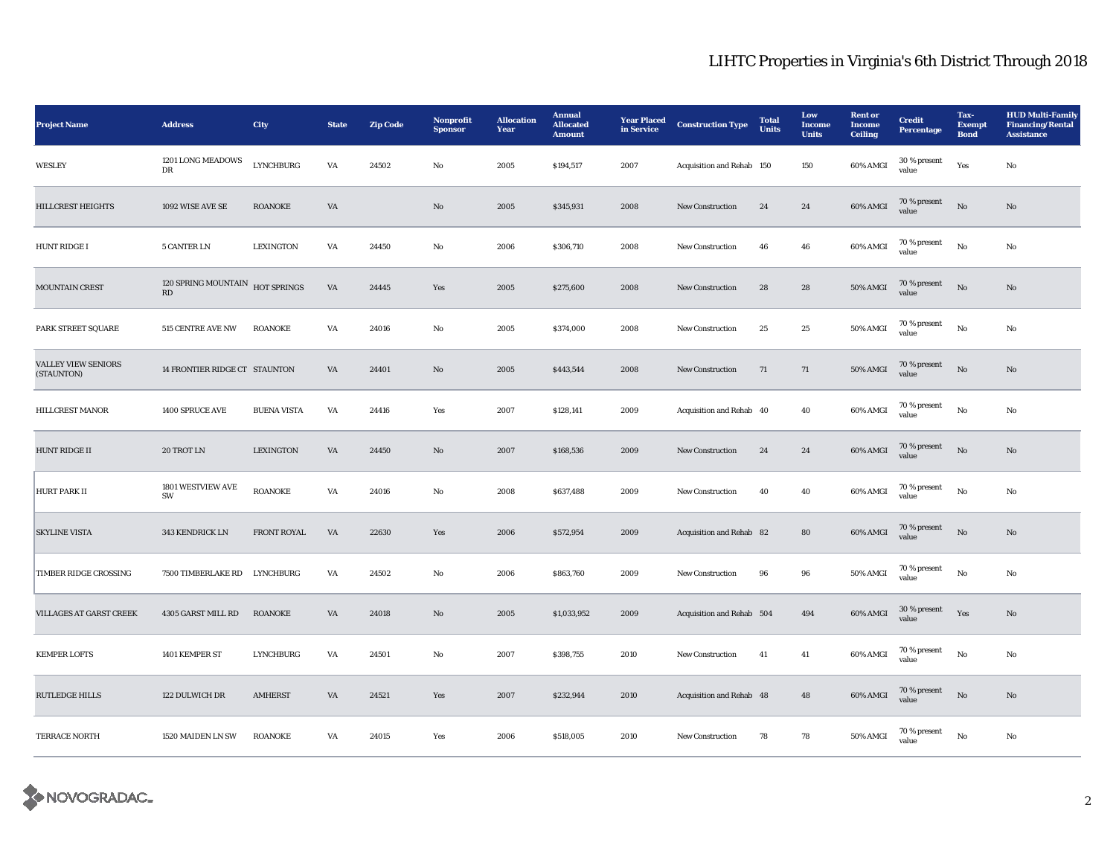| <b>Project Name</b>                      | <b>Address</b>                | City               | <b>State</b>           | <b>Zip Code</b> | Nonprofit<br><b>Sponsor</b> | <b>Allocation</b><br>Year | <b>Annual</b><br><b>Allocated</b><br><b>Amount</b> | <b>Year Placed</b><br>in Service | <b>Construction Type</b>  | <b>Total</b><br><b>Units</b> | Low<br>Income<br><b>Units</b> | <b>Rent</b> or<br><b>Income</b><br><b>Ceiling</b> | <b>Credit</b><br><b>Percentage</b> | Tax-<br><b>Exempt</b><br><b>Bond</b> | <b>HUD Multi-Family</b><br><b>Financing/Rental</b><br><b>Assistance</b> |
|------------------------------------------|-------------------------------|--------------------|------------------------|-----------------|-----------------------------|---------------------------|----------------------------------------------------|----------------------------------|---------------------------|------------------------------|-------------------------------|---------------------------------------------------|------------------------------------|--------------------------------------|-------------------------------------------------------------------------|
| WESLEY                                   | 1201 LONG MEADOWS<br>DR       | <b>LYNCHBURG</b>   | VA                     | 24502           | No                          | 2005                      | \$194,517                                          | 2007                             | Acquisition and Rehab 150 |                              | 150                           | 60% AMGI                                          | 30 % present<br>value              | Yes                                  | No                                                                      |
| <b>HILLCREST HEIGHTS</b>                 | 1092 WISE AVE SE              | <b>ROANOKE</b>     | VA                     |                 | $\mathbf{N}\mathbf{o}$      | 2005                      | \$345,931                                          | 2008                             | <b>New Construction</b>   | 24                           | 24                            | 60% AMGI                                          | 70 % present<br>value              | $\rm No$                             | No                                                                      |
| HUNT RIDGE I                             | <b>5 CANTER LN</b>            | <b>LEXINGTON</b>   | VA                     | 24450           | No                          | 2006                      | \$306,710                                          | 2008                             | <b>New Construction</b>   | 46                           | 46                            | 60% AMGI                                          | 70 % present<br>value              | $\rm No$                             | No                                                                      |
| MOUNTAIN CREST                           | 120 SPRING MOUNTAIN<br>RD     | HOT SPRINGS        | $\mathbf{V}\mathbf{A}$ | 24445           | Yes                         | 2005                      | \$275,600                                          | 2008                             | New Construction          | 28                           | 28                            | 50% AMGI                                          | 70 % present<br>value              | $_{\rm No}$                          | No                                                                      |
| PARK STREET SQUARE                       | 515 CENTRE AVE NW             | <b>ROANOKE</b>     | VA                     | 24016           | $\rm No$                    | 2005                      | \$374,000                                          | 2008                             | New Construction          | 25                           | 25                            | 50% AMGI                                          | 70 % present<br>value              | $\rm\thinspace No$                   | No                                                                      |
| <b>VALLEY VIEW SENIORS</b><br>(STAUNTON) | 14 FRONTIER RIDGE CT STAUNTON |                    | VA                     | 24401           | No                          | 2005                      | \$443,544                                          | 2008                             | <b>New Construction</b>   | 71                           | 71                            | <b>50% AMGI</b>                                   | 70 % present<br>value              | $\rm No$                             | No                                                                      |
| <b>HILLCREST MANOR</b>                   | 1400 SPRUCE AVE               | <b>BUENA VISTA</b> | VA                     | 24416           | Yes                         | 2007                      | \$128,141                                          | 2009                             | Acquisition and Rehab 40  |                              | 40                            | 60% AMGI                                          | 70 % present<br>value              | No                                   | No                                                                      |
| <b>HUNT RIDGE II</b>                     | 20 TROT LN                    | <b>LEXINGTON</b>   | VA                     | 24450           | No                          | 2007                      | \$168,536                                          | 2009                             | <b>New Construction</b>   | 24                           | 24                            | 60% AMGI                                          | 70 % present<br>value              | $\mathbf{N}\mathbf{o}$               | No                                                                      |
| <b>HURT PARK II</b>                      | 1801 WESTVIEW AVE<br>SW       | <b>ROANOKE</b>     | VA                     | 24016           | No                          | 2008                      | \$637,488                                          | 2009                             | <b>New Construction</b>   | 40                           | 40                            | 60% AMGI                                          | $70$ % present<br>value            | $\rm No$                             | No                                                                      |
| <b>SKYLINE VISTA</b>                     | 343 KENDRICK LN               | FRONT ROYAL        | VA                     | 22630           | Yes                         | 2006                      | \$572,954                                          | 2009                             | Acquisition and Rehab 82  |                              | ${\bf 80}$                    | 60% AMGI                                          | $70$ % present<br>value            | $_{\rm No}$                          | No                                                                      |
| TIMBER RIDGE CROSSING                    | 7500 TIMBERLAKE RD LYNCHBURG  |                    | VA                     | 24502           | $\rm No$                    | 2006                      | \$863,760                                          | 2009                             | New Construction          | 96                           | $96\,$                        | 50% AMGI                                          | 70 % present<br>value              | $\rm\thinspace No$                   | No                                                                      |
| <b>VILLAGES AT GARST CREEK</b>           | 4305 GARST MILL RD            | <b>ROANOKE</b>     | VA                     | 24018           | $\mathbf{N}\mathbf{o}$      | 2005                      | \$1,033,952                                        | 2009                             | Acquisition and Rehab 504 |                              | 494                           | 60% AMGI                                          | 30 % present<br>value              | Yes                                  | $\mathbf{N}\mathbf{o}$                                                  |
| <b>KEMPER LOFTS</b>                      | 1401 KEMPER ST                | <b>LYNCHBURG</b>   | VA                     | 24501           | No                          | 2007                      | \$398,755                                          | 2010                             | <b>New Construction</b>   | 41                           | 41                            | 60% AMGI                                          | $70\,\%$ present<br>value          | No                                   | No                                                                      |
| <b>RUTLEDGE HILLS</b>                    | 122 DULWICH DR                | <b>AMHERST</b>     | $\mathbf{V}\mathbf{A}$ | 24521           | Yes                         | 2007                      | \$232,944                                          | 2010                             | Acquisition and Rehab 48  |                              | 48                            | 60% AMGI                                          | 70 % present<br>value              | $\rm No$                             | No                                                                      |
| TERRACE NORTH                            | 1520 MAIDEN LN SW             | <b>ROANOKE</b>     | VA                     | 24015           | Yes                         | 2006                      | \$518,005                                          | 2010                             | <b>New Construction</b>   | 78                           | 78                            | 50% AMGI                                          | $70$ % present<br>value            | No                                   | No                                                                      |

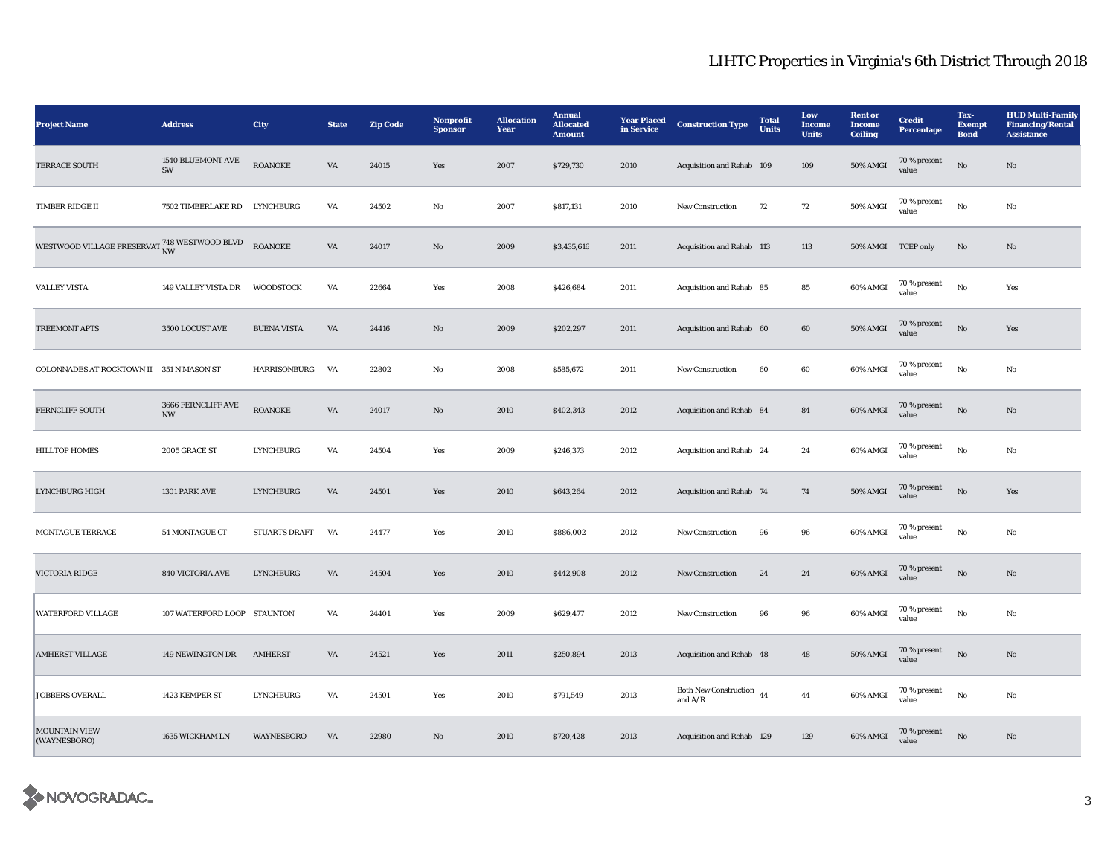| <b>Project Name</b>                                        | <b>Address</b>                                 | City               | <b>State</b>           | <b>Zip Code</b> | Nonprofit<br><b>Sponsor</b> | <b>Allocation</b><br>Year | <b>Annual</b><br><b>Allocated</b><br><b>Amount</b> | <b>Year Placed</b><br>in Service | <b>Construction Type</b>              | <b>Total</b><br><b>Units</b> | Low<br><b>Income</b><br><b>Units</b> | <b>Rent or</b><br>Income<br><b>Ceiling</b> | <b>Credit</b><br><b>Percentage</b> | Tax-<br><b>Exempt</b><br><b>Bond</b> | <b>HUD Multi-Family</b><br><b>Financing/Rental</b><br><b>Assistance</b> |
|------------------------------------------------------------|------------------------------------------------|--------------------|------------------------|-----------------|-----------------------------|---------------------------|----------------------------------------------------|----------------------------------|---------------------------------------|------------------------------|--------------------------------------|--------------------------------------------|------------------------------------|--------------------------------------|-------------------------------------------------------------------------|
| TERRACE SOUTH                                              | 1540 BLUEMONT AVE<br>SW                        | <b>ROANOKE</b>     | VA                     | 24015           | Yes                         | 2007                      | \$729,730                                          | 2010                             | Acquisition and Rehab 109             |                              | 109                                  | <b>50% AMGI</b>                            | 70 % present<br>value              | $\rm No$                             | $\rm No$                                                                |
| TIMBER RIDGE II                                            | 7502 TIMBERLAKE RD LYNCHBURG                   |                    | VA                     | 24502           | No                          | 2007                      | \$817,131                                          | 2010                             | New Construction                      | 72                           | 72                                   | 50% AMGI                                   | 70 % present<br>value              | $_{\rm No}$                          | No                                                                      |
| WESTWOOD VILLAGE PRESERVAT $_{\rm NW}^{748}$ WESTWOOD BLVD |                                                | <b>ROANOKE</b>     | $\mathbf{V}\mathbf{A}$ | 24017           | $\mathbf{No}$               | 2009                      | \$3,435,616                                        | 2011                             | Acquisition and Rehab 113             |                              | 113                                  | 50% AMGI TCEP only                         |                                    | $\mathbf{N}\mathbf{o}$               | $\rm No$                                                                |
| <b>VALLEY VISTA</b>                                        | 149 VALLEY VISTA DR                            | <b>WOODSTOCK</b>   | VA                     | 22664           | Yes                         | 2008                      | \$426,684                                          | 2011                             | Acquisition and Rehab 85              |                              | 85                                   | 60% AMGI                                   | 70 % present<br>value              | $_{\rm No}$                          | Yes                                                                     |
| TREEMONT APTS                                              | 3500 LOCUST AVE                                | <b>BUENA VISTA</b> | VA                     | 24416           | $\mathbf{No}$               | 2009                      | \$202,297                                          | 2011                             | Acquisition and Rehab 60              |                              | $\bf{60}$                            | <b>50% AMGI</b>                            | 70 % present<br>value              | $\rm No$                             | Yes                                                                     |
| COLONNADES AT ROCKTOWN II 351 N MASON ST                   |                                                | HARRISONBURG       | VA                     | 22802           | No                          | 2008                      | \$585,672                                          | 2011                             | New Construction                      | 60                           | 60                                   | 60% AMGI                                   | 70 % present<br>value              | No                                   | No                                                                      |
| FERNCLIFF SOUTH                                            | 3666 FERNCLIFF AVE<br>$\ensuremath{\text{NW}}$ | <b>ROANOKE</b>     | VA                     | 24017           | $\rm No$                    | 2010                      | \$402,343                                          | 2012                             | Acquisition and Rehab 84              |                              | ${\bf 84}$                           | 60% AMGI                                   | 70 % present<br>value              | $_{\rm No}$                          | $\mathbf{No}$                                                           |
| <b>HILLTOP HOMES</b>                                       | 2005 GRACE ST                                  | <b>LYNCHBURG</b>   | VA                     | 24504           | Yes                         | 2009                      | \$246,373                                          | 2012                             | Acquisition and Rehab 24              |                              | 24                                   | 60% AMGI                                   | 70 % present<br>value              | No                                   | No                                                                      |
| LYNCHBURG HIGH                                             | 1301 PARK AVE                                  | <b>LYNCHBURG</b>   | $\mathbf{V}\mathbf{A}$ | 24501           | Yes                         | 2010                      | \$643,264                                          | 2012                             | Acquisition and Rehab 74              |                              | ${\bf 74}$                           | <b>50% AMGI</b>                            | 70 % present<br>value              | $_{\rm No}$                          | Yes                                                                     |
| MONTAGUE TERRACE                                           | 54 MONTAGUE CT                                 | STUARTS DRAFT VA   |                        | 24477           | Yes                         | 2010                      | \$886,002                                          | 2012                             | New Construction                      | 96                           | 96                                   | 60% AMGI                                   | 70 % present<br>value              | $_{\rm No}$                          | No                                                                      |
| VICTORIA RIDGE                                             | 840 VICTORIA AVE                               | <b>LYNCHBURG</b>   | VA                     | 24504           | Yes                         | 2010                      | \$442,908                                          | 2012                             | New Construction                      | 24                           | $\bf 24$                             | 60% AMGI                                   | 70 % present<br>value              | $\rm No$                             | $\mathbf{No}$                                                           |
| <b>WATERFORD VILLAGE</b>                                   | 107 WATERFORD LOOP STAUNTON                    |                    | VA                     | 24401           | Yes                         | 2009                      | \$629,477                                          | 2012                             | New Construction                      | 96                           | 96                                   | 60% AMGI                                   | 70 % present<br>value              | $_{\rm No}$                          | $\mathbf{No}$                                                           |
| <b>AMHERST VILLAGE</b>                                     | 149 NEWINGTON DR                               | <b>AMHERST</b>     | VA                     | 24521           | Yes                         | 2011                      | \$250,894                                          | 2013                             | Acquisition and Rehab 48              |                              | $\bf 48$                             | <b>50% AMGI</b>                            | $70$ % present<br>value            | $\rm No$                             | $\mathbf{No}$                                                           |
| <b>JOBBERS OVERALL</b>                                     | 1423 KEMPER ST                                 | <b>LYNCHBURG</b>   | VA                     | 24501           | Yes                         | 2010                      | \$791,549                                          | 2013                             | Both New Construction 44<br>and $A/R$ |                              | 44                                   | 60% AMGI                                   | 70 % present<br>value              | No                                   | $\rm No$                                                                |
| <b>MOUNTAIN VIEW</b><br>(WAYNESBORO)                       | 1635 WICKHAM LN                                | <b>WAYNESBORO</b>  | VA                     | 22980           | $\mathbf{N}\mathbf{o}$      | 2010                      | \$720,428                                          | 2013                             | Acquisition and Rehab 129             |                              | 129                                  | 60% AMGI                                   | 70 % present<br>value              | $\rm No$                             | No                                                                      |

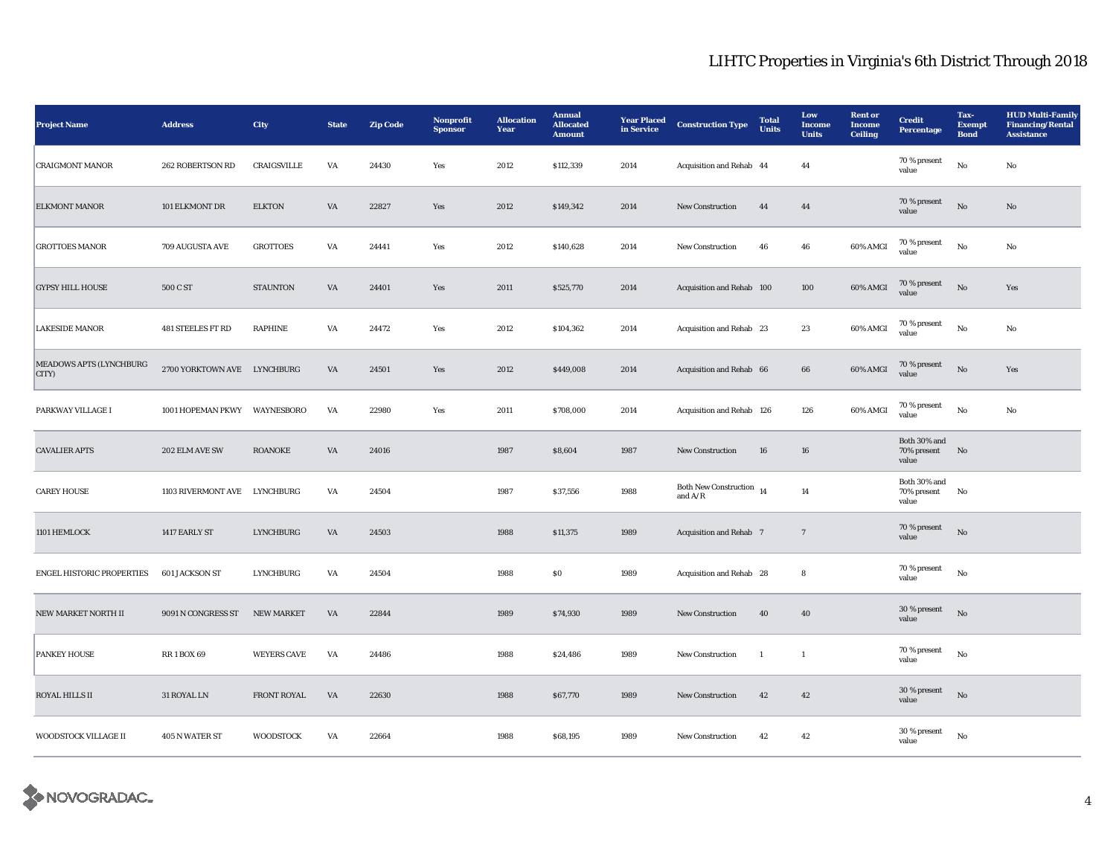| <b>Project Name</b>              | <b>Address</b>               | <b>City</b>        | <b>State</b> | <b>Zip Code</b> | Nonprofit<br><b>Sponsor</b> | <b>Allocation</b><br>Year | <b>Annual</b><br><b>Allocated</b><br><b>Amount</b> | <b>Year Placed</b><br>in Service | <b>Construction Type</b>                  | <b>Total</b><br><b>Units</b> | Low<br>Income<br><b>Units</b> | <b>Rent</b> or<br>Income<br><b>Ceiling</b> | <b>Credit</b><br>Percentage             | Tax-<br><b>Exempt</b><br><b>Bond</b> | <b>HUD Multi-Family</b><br><b>Financing/Rental</b><br><b>Assistance</b> |
|----------------------------------|------------------------------|--------------------|--------------|-----------------|-----------------------------|---------------------------|----------------------------------------------------|----------------------------------|-------------------------------------------|------------------------------|-------------------------------|--------------------------------------------|-----------------------------------------|--------------------------------------|-------------------------------------------------------------------------|
| <b>CRAIGMONT MANOR</b>           | 262 ROBERTSON RD             | CRAIGSVILLE        | VA           | 24430           | Yes                         | 2012                      | \$112,339                                          | 2014                             | Acquisition and Rehab 44                  |                              | 44                            |                                            | 70 % present<br>value                   | $\mathbf{No}$                        | No                                                                      |
| <b>ELKMONT MANOR</b>             | 101 ELKMONT DR               | <b>ELKTON</b>      | VA           | 22827           | Yes                         | 2012                      | \$149,342                                          | 2014                             | New Construction                          | 44                           | 44                            |                                            | 70 % present<br>value                   | No                                   | $\mathbf{No}$                                                           |
| <b>GROTTOES MANOR</b>            | 709 AUGUSTA AVE              | <b>GROTTOES</b>    | VA           | 24441           | Yes                         | 2012                      | \$140,628                                          | 2014                             | <b>New Construction</b>                   | 46                           | 46                            | 60% AMGI                                   | 70 % present<br>value                   | No                                   | No                                                                      |
| <b>GYPSY HILL HOUSE</b>          | 500 C ST                     | <b>STAUNTON</b>    | VA           | 24401           | Yes                         | 2011                      | \$525,770                                          | 2014                             | Acquisition and Rehab 100                 |                              | 100                           | 60% AMGI                                   | 70 % present<br>value                   | $\rm No$                             | Yes                                                                     |
| <b>LAKESIDE MANOR</b>            | <b>481 STEELES FT RD</b>     | <b>RAPHINE</b>     | VA           | 24472           | Yes                         | 2012                      | \$104,362                                          | 2014                             | Acquisition and Rehab 23                  |                              | 23                            | 60% AMGI                                   | 70 % present<br>value                   | $_{\rm No}$                          | No                                                                      |
| MEADOWS APTS (LYNCHBURG<br>CITY) | 2700 YORKTOWN AVE LYNCHBURG  |                    | VA           | 24501           | Yes                         | 2012                      | \$449,008                                          | 2014                             | Acquisition and Rehab 66                  |                              | 66                            | 60% AMGI                                   | 70 % present<br>value                   | No                                   | Yes                                                                     |
| PARKWAY VILLAGE I                | 1001 HOPEMAN PKWY WAYNESBORO |                    | VA           | 22980           | Yes                         | 2011                      | \$708,000                                          | 2014                             | Acquisition and Rehab 126                 |                              | 126                           | 60% AMGI                                   | 70 % present<br>value                   | No                                   | No                                                                      |
| <b>CAVALIER APTS</b>             | 202 ELM AVE SW               | <b>ROANOKE</b>     | VA           | 24016           |                             | 1987                      | \$8,604                                            | 1987                             | <b>New Construction</b>                   | 16                           | 16                            |                                            | Both 30% and<br>70% present<br>value    | No                                   |                                                                         |
| <b>CAREY HOUSE</b>               | 1103 RIVERMONT AVE LYNCHBURG |                    | VA           | 24504           |                             | 1987                      | \$37,556                                           | 1988                             | <b>Both New Construction</b><br>and $A/R$ | 14                           | 14                            |                                            | Both $30\%$ and<br>70% present<br>value | No                                   |                                                                         |
| 1101 HEMLOCK                     | 1417 EARLY ST                | <b>LYNCHBURG</b>   | VA           | 24503           |                             | 1988                      | \$11,375                                           | 1989                             | Acquisition and Rehab 7                   |                              | $7\phantom{.0}$               |                                            | 70 % present<br>value                   | No                                   |                                                                         |
| ENGEL HISTORIC PROPERTIES        | <b>601 JACKSON ST</b>        | <b>LYNCHBURG</b>   | VA           | 24504           |                             | 1988                      | S <sub>0</sub>                                     | 1989                             | Acquisition and Rehab 28                  |                              | 8                             |                                            | 70 % present<br>value                   | $\rm No$                             |                                                                         |
| NEW MARKET NORTH II              | 9091 N CONGRESS ST           | <b>NEW MARKET</b>  | VA           | 22844           |                             | 1989                      | \$74,930                                           | 1989                             | <b>New Construction</b>                   | 40                           | 40                            |                                            | 30 % present<br>value                   | No                                   |                                                                         |
| <b>PANKEY HOUSE</b>              | <b>RR1BOX69</b>              | <b>WEYERS CAVE</b> | VA           | 24486           |                             | 1988                      | \$24,486                                           | 1989                             | New Construction                          | -1                           | $\mathbf{1}$                  |                                            | 70 % present<br>value                   | No                                   |                                                                         |
| ROYAL HILLS II                   | 31 ROYAL LN                  | <b>FRONT ROYAL</b> | VA           | 22630           |                             | 1988                      | \$67,770                                           | 1989                             | New Construction                          | 42                           | 42                            |                                            | 30 % present<br>value                   | $\rm No$                             |                                                                         |
| WOODSTOCK VILLAGE II             | 405 N WATER ST               | <b>WOODSTOCK</b>   | VA           | 22664           |                             | 1988                      | \$68,195                                           | 1989                             | New Construction                          | 42                           | 42                            |                                            | 30 % present<br>value                   | No                                   |                                                                         |

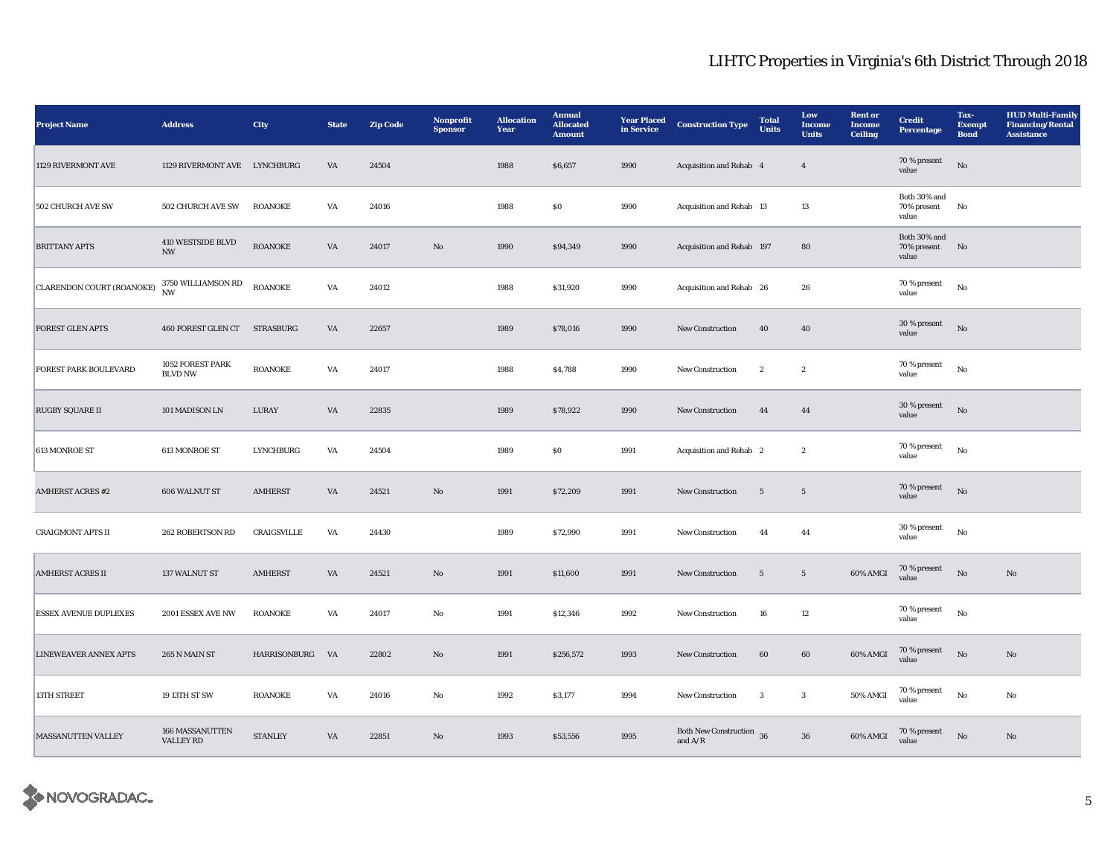| <b>Project Name</b>          | <b>Address</b>                                | City            | <b>State</b> | <b>Zip Code</b> | Nonprofit<br><b>Sponsor</b> | <b>Allocation</b><br>Year | <b>Annual</b><br><b>Allocated</b><br><b>Amount</b> | <b>Year Placed</b><br>in Service | <b>Construction Type</b>              | <b>Total</b><br>Units | Low<br><b>Income</b><br><b>Units</b> | <b>Rent</b> or<br><b>Income</b><br><b>Ceiling</b> | <b>Credit</b><br><b>Percentage</b>      | Tax-<br><b>Exempt</b><br><b>Bond</b> | <b>HUD Multi-Family</b><br><b>Financing/Rental</b><br><b>Assistance</b> |
|------------------------------|-----------------------------------------------|-----------------|--------------|-----------------|-----------------------------|---------------------------|----------------------------------------------------|----------------------------------|---------------------------------------|-----------------------|--------------------------------------|---------------------------------------------------|-----------------------------------------|--------------------------------------|-------------------------------------------------------------------------|
| 1129 RIVERMONT AVE           | 1129 RIVERMONT AVE LYNCHBURG                  |                 | VA           | 24504           |                             | 1988                      | \$6,657                                            | 1990                             | Acquisition and Rehab 4               |                       | $\overline{4}$                       |                                                   | 70 % present<br>value                   | No                                   |                                                                         |
| <b>502 CHURCH AVE SW</b>     | 502 CHURCH AVE SW                             | <b>ROANOKE</b>  | VA           | 24016           |                             | 1988                      | <b>SO</b>                                          | 1990                             | Acquisition and Rehab 13              |                       | 13                                   |                                                   | Both 30% and<br>70% present<br>value    | No                                   |                                                                         |
| <b>BRITTANY APTS</b>         | 410 WESTSIDE BLVD<br>$\ensuremath{\text{NW}}$ | <b>ROANOKE</b>  | VA           | 24017           | No                          | 1990                      | \$94,349                                           | 1990                             | Acquisition and Rehab 197             |                       | 80                                   |                                                   | Both 30% and<br>70% present No<br>value |                                      |                                                                         |
| CLARENDON COURT (ROANOKE)    | 3750 WILLIAMSON RD<br><b>NW</b>               | <b>ROANOKE</b>  | VA           | 24012           |                             | 1988                      | \$31,920                                           | 1990                             | Acquisition and Rehab 26              |                       | 26                                   |                                                   | 70 % present<br>value                   | $_{\rm No}$                          |                                                                         |
| FOREST GLEN APTS             | 460 FOREST GLEN CT STRASBURG                  |                 | VA           | 22657           |                             | 1989                      | \$78,016                                           | 1990                             | New Construction                      | 40                    | 40                                   |                                                   | 30 % present<br>value                   | $_{\rm No}$                          |                                                                         |
| FOREST PARK BOULEVARD        | 1052 FOREST PARK<br><b>BLVD NW</b>            | <b>ROANOKE</b>  | VA           | 24017           |                             | 1988                      | \$4,788                                            | 1990                             | New Construction                      | $\boldsymbol{2}$      | $\boldsymbol{2}$                     |                                                   | 70 % present<br>value                   | No                                   |                                                                         |
| <b>RUGBY SQUARE II</b>       | 101 MADISON LN                                | LURAY           | VA           | 22835           |                             | 1989                      | \$78,922                                           | 1990                             | <b>New Construction</b>               | 44                    | 44                                   |                                                   | 30 % present<br>value                   | No                                   |                                                                         |
| 613 MONROE ST                | 613 MONROE ST                                 | LYNCHBURG       | VA           | 24504           |                             | 1989                      | SO.                                                | 1991                             | Acquisition and Rehab 2               |                       | $\boldsymbol{2}$                     |                                                   | 70 % present<br>value                   | $_{\rm No}$                          |                                                                         |
| <b>AMHERST ACRES #2</b>      | 606 WALNUT ST                                 | <b>AMHERST</b>  | VA           | 24521           | $\mathbf{N}\mathbf{o}$      | 1991                      | \$72,209                                           | 1991                             | <b>New Construction</b>               | $5\overline{)}$       | $5\phantom{.0}$                      |                                                   | 70 % present<br>value                   | No                                   |                                                                         |
| <b>CRAIGMONT APTS II</b>     | 262 ROBERTSON RD                              | CRAIGSVILLE     | VA           | 24430           |                             | 1989                      | \$72,990                                           | 1991                             | New Construction                      | 44                    | 44                                   |                                                   | 30 % present<br>value                   | $_{\rm No}$                          |                                                                         |
| <b>AMHERST ACRES II</b>      | 137 WALNUT ST                                 | <b>AMHERST</b>  | VA           | 24521           | $\rm No$                    | 1991                      | \$11,600                                           | 1991                             | New Construction                      | $5\phantom{.0}$       | $\sqrt{5}$                           | 60% AMGI                                          | 70 % present<br>value                   | $\mathbf {No}$                       | $\rm No$                                                                |
| <b>ESSEX AVENUE DUPLEXES</b> | 2001 ESSEX AVE NW                             | <b>ROANOKE</b>  | VA           | 24017           | No                          | 1991                      | \$12,346                                           | 1992                             | <b>New Construction</b>               | 16                    | 12                                   |                                                   | 70 % present<br>value                   | No                                   |                                                                         |
| <b>LINEWEAVER ANNEX APTS</b> | 265 N MAIN ST                                 | HARRISONBURG VA |              | 22802           | No                          | 1991                      | \$256,572                                          | 1993                             | <b>New Construction</b>               | 60                    | 60                                   | 60% AMGI                                          | 70 % present<br>value                   | No                                   | No                                                                      |
| <b>13TH STREET</b>           | 19 13TH ST SW                                 | <b>ROANOKE</b>  | VA           | 24016           | No                          | 1992                      | \$3,177                                            | 1994                             | New Construction                      | 3                     | $\mathbf{3}$                         | 50% AMGI                                          | $70$ % present<br>value                 | $_{\rm No}$                          | $\rm No$                                                                |
| MASSANUTTEN VALLEY           | 166 MASSANUTTEN<br>VALLEY RD                  | <b>STANLEY</b>  | VA           | 22851           | No                          | 1993                      | \$53,556                                           | 1995                             | Both New Construction 36<br>and $A/R$ |                       | ${\bf 36}$                           | 60% AMGI                                          | $70\,\%$ present<br>value               | $_{\rm No}$                          | No                                                                      |

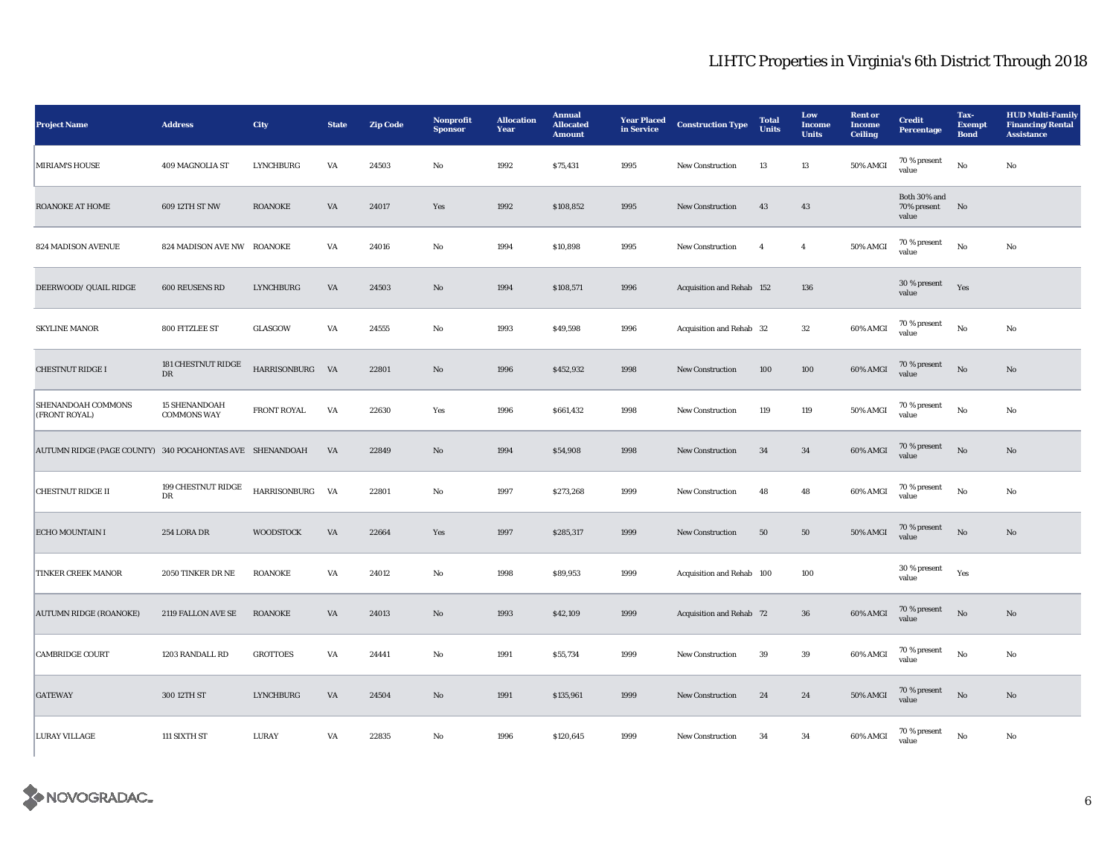| <b>Project Name</b>                                      | <b>Address</b>                             | City             | <b>State</b> | <b>Zip Code</b> | Nonprofit<br><b>Sponsor</b> | <b>Allocation</b><br>Year | <b>Annual</b><br><b>Allocated</b><br><b>Amount</b> | <b>Year Placed</b><br>in Service | <b>Construction Type</b>  | <b>Total</b><br><b>Units</b> | Low<br><b>Income</b><br><b>Units</b> | <b>Rent or</b><br><b>Income</b><br>Ceiling | <b>Credit</b><br><b>Percentage</b>   | Tax-<br><b>Exempt</b><br><b>Bond</b> | <b>HUD Multi-Family</b><br><b>Financing/Rental</b><br><b>Assistance</b> |
|----------------------------------------------------------|--------------------------------------------|------------------|--------------|-----------------|-----------------------------|---------------------------|----------------------------------------------------|----------------------------------|---------------------------|------------------------------|--------------------------------------|--------------------------------------------|--------------------------------------|--------------------------------------|-------------------------------------------------------------------------|
| <b>MIRIAM'S HOUSE</b>                                    | 409 MAGNOLIA ST                            | <b>LYNCHBURG</b> | VA           | 24503           | $\rm No$                    | 1992                      | \$75,431                                           | 1995                             | New Construction          | 13                           | 13                                   | 50% AMGI                                   | $70\,\%$ present<br>value            | $_{\rm No}$                          | $\mathbf{No}$                                                           |
| ROANOKE AT HOME                                          | 609 12TH ST NW                             | <b>ROANOKE</b>   | VA           | 24017           | Yes                         | 1992                      | \$108,852                                          | 1995                             | <b>New Construction</b>   | 43                           | 43                                   |                                            | Both 30% and<br>70% present<br>value | No                                   |                                                                         |
| 824 MADISON AVENUE                                       | 824 MADISON AVE NW ROANOKE                 |                  | VA           | 24016           | $_{\rm No}$                 | 1994                      | \$10,898                                           | 1995                             | <b>New Construction</b>   | $\overline{4}$               | $\overline{4}$                       | 50% AMGI                                   | 70 % present<br>value                | $_{\rm No}$                          | $\mathbf{No}$                                                           |
| DEERWOOD/ QUAIL RIDGE                                    | 600 REUSENS RD                             | <b>LYNCHBURG</b> | VA           | 24503           | $\mathbf{N}\mathbf{o}$      | 1994                      | \$108,571                                          | 1996                             | Acquisition and Rehab 152 |                              | 136                                  |                                            | 30 % present<br>value                | Yes                                  |                                                                         |
| <b>SKYLINE MANOR</b>                                     | 800 FITZLEE ST                             | GLASGOW          | VA           | 24555           | No                          | 1993                      | \$49,598                                           | 1996                             | Acquisition and Rehab 32  |                              | 32                                   | 60% AMGI                                   | 70 % present<br>value                | $_{\rm No}$                          | $\mathbf{No}$                                                           |
| <b>CHESTNUT RIDGE I</b>                                  | 181 CHESTNUT RIDGE<br>$_{\rm DR}$          | HARRISONBURG VA  |              | 22801           | No                          | 1996                      | \$452,932                                          | 1998                             | New Construction          | 100                          | 100                                  | 60% AMGI                                   | 70 % present<br>value                | $_{\rm No}$                          | No                                                                      |
| SHENANDOAH COMMONS<br>(FRONT ROYAL)                      | <b>15 SHENANDOAH</b><br><b>COMMONS WAY</b> | FRONT ROYAL      | VA           | 22630           | Yes                         | 1996                      | \$661,432                                          | 1998                             | New Construction          | 119                          | 119                                  | 50% AMGI                                   | 70 % present<br>value                | $_{\rm No}$                          | No                                                                      |
| AUTUMN RIDGE (PAGE COUNTY) 340 POCAHONTAS AVE SHENANDOAH |                                            |                  | VA           | 22849           | $\rm No$                    | 1994                      | \$54,908                                           | 1998                             | New Construction          | 34                           | 34                                   | 60% AMGI                                   | 70 % present<br>value                | $_{\rm No}$                          | $\rm No$                                                                |
| <b>CHESTNUT RIDGE II</b>                                 | 199 CHESTNUT RIDGE<br>DR                   | HARRISONBURG VA  |              | 22801           | No                          | 1997                      | \$273,268                                          | 1999                             | <b>New Construction</b>   | 48                           | 48                                   | 60% AMGI                                   | 70 % present<br>value                | No                                   | No                                                                      |
| ECHO MOUNTAIN I                                          | 254 LORA DR                                | <b>WOODSTOCK</b> | VA           | 22664           | Yes                         | 1997                      | \$285,317                                          | 1999                             | <b>New Construction</b>   | 50                           | 50                                   | <b>50% AMGI</b>                            | 70 % present<br>value                | No                                   | No                                                                      |
| TINKER CREEK MANOR                                       | 2050 TINKER DR NE                          | <b>ROANOKE</b>   | VA           | 24012           | No                          | 1998                      | \$89,953                                           | 1999                             | Acquisition and Rehab 100 |                              | 100                                  |                                            | 30 % present<br>value                | Yes                                  |                                                                         |
| <b>AUTUMN RIDGE (ROANOKE)</b>                            | 2119 FALLON AVE SE                         | <b>ROANOKE</b>   | VA           | 24013           | $\rm No$                    | 1993                      | \$42,109                                           | 1999                             | Acquisition and Rehab 72  |                              | ${\bf 36}$                           | 60% AMGI                                   | 70 % present<br>value                | No                                   | No                                                                      |
| <b>CAMBRIDGE COURT</b>                                   | 1203 RANDALL RD                            | <b>GROTTOES</b>  | VA           | 24441           | $\rm No$                    | 1991                      | \$55,734                                           | 1999                             | New Construction          | 39                           | 39                                   | 60% AMGI                                   | 70 % present<br>value                | $_{\rm No}$                          | No                                                                      |
| <b>GATEWAY</b>                                           | 300 12TH ST                                | <b>LYNCHBURG</b> | VA           | 24504           | $\mathbf{N}\mathbf{o}$      | 1991                      | \$135,961                                          | 1999                             | New Construction          | 24                           | 24                                   | 50% AMGI                                   | 70 % present<br>value                | $_{\rm No}$                          | $\rm No$                                                                |
| <b>LURAY VILLAGE</b>                                     | 111 SIXTH ST                               | LURAY            | VA           | 22835           | No                          | 1996                      | \$120,645                                          | 1999                             | New Construction          | 34                           | 34                                   | 60% AMGI                                   | 70 % present<br>value                | $_{\rm No}$                          | $\mathbf{No}$                                                           |

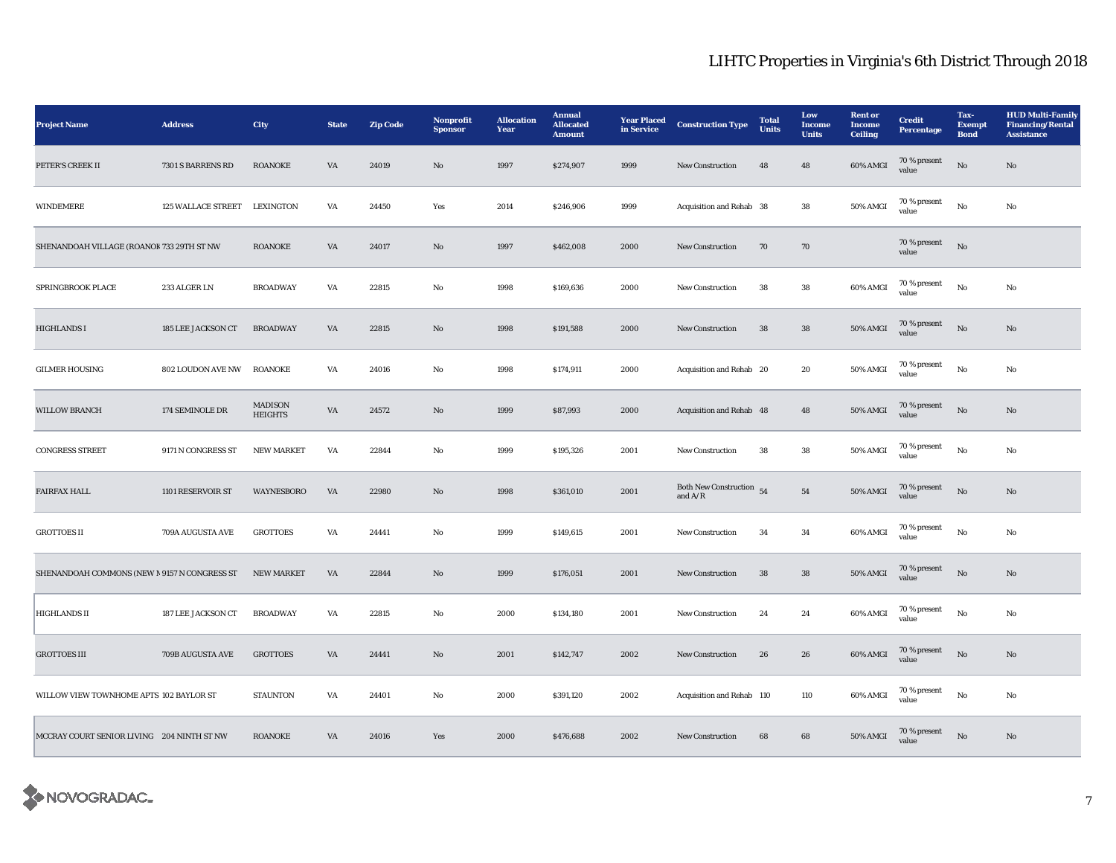| <b>Project Name</b>                          | <b>Address</b>               | City                             | <b>State</b>           | <b>Zip Code</b> | Nonprofit<br><b>Sponsor</b> | <b>Allocation</b><br>Year | <b>Annual</b><br><b>Allocated</b><br><b>Amount</b> | <b>Year Placed</b><br>in Service | <b>Construction Type</b>                | <b>Total</b><br><b>Units</b> | Low<br>Income<br><b>Units</b> | <b>Rent or</b><br><b>Income</b><br><b>Ceiling</b> | <b>Credit</b><br><b>Percentage</b> | Tax-<br><b>Exempt</b><br><b>Bond</b> | <b>HUD Multi-Family</b><br><b>Financing/Rental</b><br><b>Assistance</b> |
|----------------------------------------------|------------------------------|----------------------------------|------------------------|-----------------|-----------------------------|---------------------------|----------------------------------------------------|----------------------------------|-----------------------------------------|------------------------------|-------------------------------|---------------------------------------------------|------------------------------------|--------------------------------------|-------------------------------------------------------------------------|
| PETER'S CREEK II                             | 7301 S BARRENS RD            | <b>ROANOKE</b>                   | $\mathbf{V}\mathbf{A}$ | 24019           | $\mathbf{No}$               | 1997                      | \$274,907                                          | 1999                             | New Construction                        | 48                           | 48                            | 60% AMGI                                          | 70 % present<br>value              | $\rm\thinspace No$                   | $\mathbf{N}\mathbf{o}$                                                  |
| WINDEMERE                                    | 125 WALLACE STREET LEXINGTON |                                  | VA                     | 24450           | Yes                         | 2014                      | \$246,906                                          | 1999                             | Acquisition and Rehab 38                |                              | ${\bf 38}$                    | 50% AMGI                                          | 70 % present<br>value              | $\rm No$                             | No                                                                      |
| SHENANDOAH VILLAGE (ROANOK 733 29TH ST NW    |                              | <b>ROANOKE</b>                   | $\mathbf{V}\mathbf{A}$ | 24017           | No                          | 1997                      | \$462,008                                          | 2000                             | <b>New Construction</b>                 | 70                           | ${\bf 70}$                    |                                                   | $70\,\%$ present<br>value          | $\rm No$                             |                                                                         |
| SPRINGBROOK PLACE                            | 233 ALGER LN                 | <b>BROADWAY</b>                  | VA                     | 22815           | No                          | 1998                      | \$169,636                                          | 2000                             | <b>New Construction</b>                 | 38                           | ${\bf 38}$                    | 60% AMGI                                          | 70 % present<br>value              | No                                   | No                                                                      |
| HIGHLANDS I                                  | 185 LEE JACKSON CT           | <b>BROADWAY</b>                  | $\mathbf{V}\mathbf{A}$ | 22815           | $\mathbf{No}$               | 1998                      | \$191,588                                          | 2000                             | New Construction                        | 38                           | 38                            | 50% AMGI                                          | 70 % present<br>value              | $\rm No$                             | $\mathbf{N}\mathbf{o}$                                                  |
| <b>GILMER HOUSING</b>                        | <b>802 LOUDON AVE NW</b>     | <b>ROANOKE</b>                   | VA                     | 24016           | No                          | 1998                      | \$174,911                                          | 2000                             | Acquisition and Rehab 20                |                              | 20                            | 50% AMGI                                          | 70 % present<br>value              | $\rm No$                             | No                                                                      |
| WILLOW BRANCH                                | 174 SEMINOLE DR              | <b>MADISON</b><br><b>HEIGHTS</b> | VA                     | 24572           | $\mathbf{N}\mathbf{o}$      | 1999                      | \$87,993                                           | 2000                             | Acquisition and Rehab 48                |                              | 48                            | 50% AMGI                                          | 70 % present<br>value              | No                                   | No                                                                      |
| <b>CONGRESS STREET</b>                       | 9171 N CONGRESS ST           | <b>NEW MARKET</b>                | VA                     | 22844           | No                          | 1999                      | \$195,326                                          | 2001                             | <b>New Construction</b>                 | 38                           | 38                            | 50% AMGI                                          | 70 % present<br>value              | No                                   | No                                                                      |
| <b>FAIRFAX HALL</b>                          | 1101 RESERVOIR ST            | WAYNESBORO                       | VA                     | 22980           | No                          | 1998                      | \$361,010                                          | 2001                             | Both New Construction $54$<br>and $A/R$ |                              | ${\bf 54}$                    | 50% AMGI                                          | 70 % present<br>value              | $\rm No$                             | No                                                                      |
| <b>GROTTOES II</b>                           | 709A AUGUSTA AVE             | <b>GROTTOES</b>                  | VA                     | 24441           | No                          | 1999                      | \$149,615                                          | 2001                             | New Construction                        | 34                           | $\bf{34}$                     | 60% AMGI                                          | 70 % present<br>value              | No                                   | No                                                                      |
| SHENANDOAH COMMONS (NEW N 9157 N CONGRESS ST |                              | <b>NEW MARKET</b>                | VA                     | 22844           | $\mathbf{No}$               | 1999                      | \$176,051                                          | 2001                             | <b>New Construction</b>                 | 38                           | ${\bf 38}$                    | 50% AMGI                                          | 70 % present<br>value              | $\rm No$                             | No                                                                      |
| <b>HIGHLANDS II</b>                          | 187 LEE JACKSON CT           | <b>BROADWAY</b>                  | VA                     | 22815           | No                          | 2000                      | \$134,180                                          | 2001                             | New Construction                        | 24                           | 24                            | 60% AMGI                                          | 70 % present<br>value              | $\rm No$                             | No                                                                      |
| <b>GROTTOES III</b>                          | 709B AUGUSTA AVE             | <b>GROTTOES</b>                  | VA                     | 24441           | No                          | 2001                      | \$142,747                                          | 2002                             | <b>New Construction</b>                 | 26                           | 26                            | 60% AMGI                                          | $70\,\%$ present<br>value          | $\rm No$                             | No                                                                      |
| WILLOW VIEW TOWNHOME APTS 102 BAYLOR ST      |                              | <b>STAUNTON</b>                  | VA                     | 24401           | $\rm No$                    | 2000                      | \$391,120                                          | 2002                             | Acquisition and Rehab 110               |                              | 110                           | 60% AMGI                                          | 70 % present<br>value              | $_{\rm No}$                          | No                                                                      |
| MCCRAY COURT SENIOR LIVING 204 NINTH ST NW   |                              | <b>ROANOKE</b>                   | VA                     | 24016           | Yes                         | 2000                      | \$476,688                                          | 2002                             | New Construction                        | 68                           | 68                            | <b>50% AMGI</b>                                   | 70 % present<br>value              | $\rm No$                             | $\mathbf{N}\mathbf{o}$                                                  |

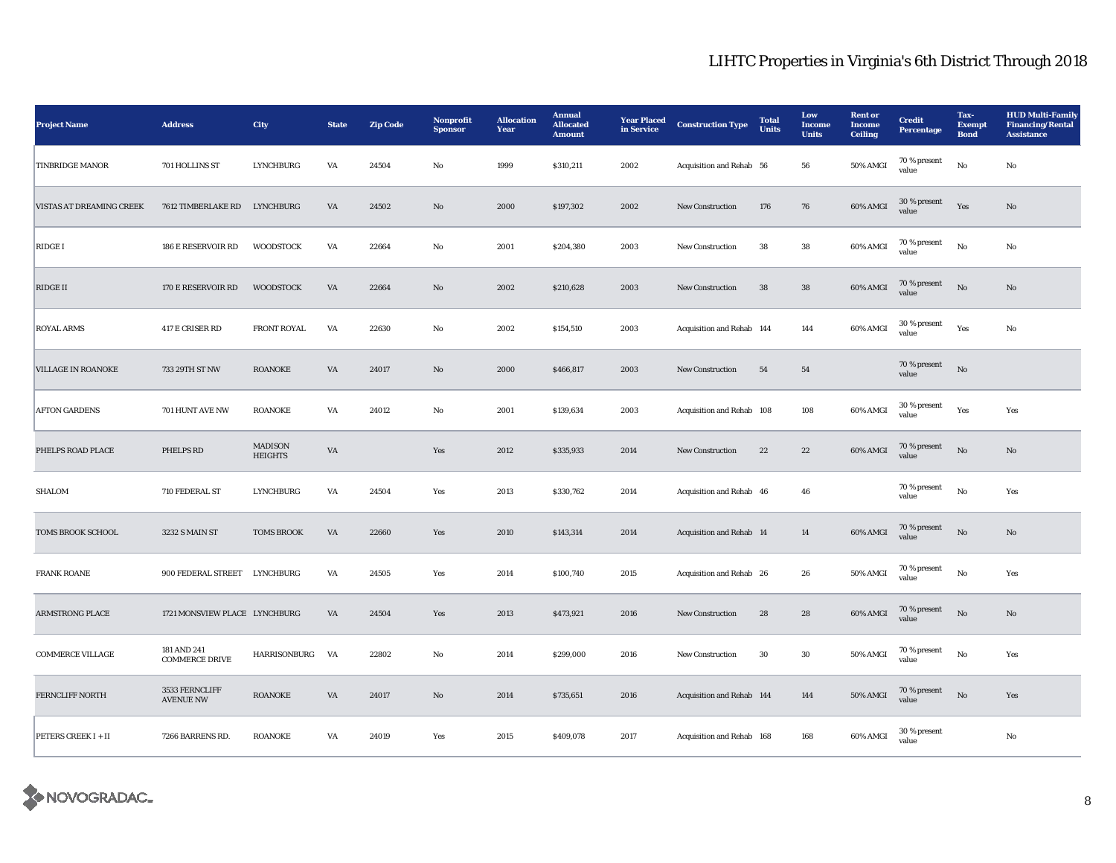| <b>Project Name</b>       | <b>Address</b>                       | <b>City</b>                      | <b>State</b>           | <b>Zip Code</b> | Nonprofit<br><b>Sponsor</b> | <b>Allocation</b><br>Year | <b>Annual</b><br><b>Allocated</b><br><b>Amount</b> | <b>Year Placed</b><br>in Service | <b>Construction Type</b>  | <b>Total</b><br><b>Units</b> | Low<br>Income<br><b>Units</b> | <b>Rent</b> or<br><b>Income</b><br><b>Ceiling</b> | <b>Credit</b><br><b>Percentage</b> | Tax-<br><b>Exempt</b><br><b>Bond</b> | <b>HUD Multi-Family</b><br><b>Financing/Rental</b><br><b>Assistance</b> |
|---------------------------|--------------------------------------|----------------------------------|------------------------|-----------------|-----------------------------|---------------------------|----------------------------------------------------|----------------------------------|---------------------------|------------------------------|-------------------------------|---------------------------------------------------|------------------------------------|--------------------------------------|-------------------------------------------------------------------------|
| <b>TINBRIDGE MANOR</b>    | 701 HOLLINS ST                       | <b>LYNCHBURG</b>                 | VA                     | 24504           | No                          | 1999                      | \$310,211                                          | 2002                             | Acquisition and Rehab 56  |                              | 56                            | 50% AMGI                                          | 70 % present<br>value              | $\mathbf{No}$                        | No                                                                      |
| VISTAS AT DREAMING CREEK  | 7612 TIMBERLAKE RD LYNCHBURG         |                                  | $\mathbf{V}\mathbf{A}$ | 24502           | $\mathbf{N}\mathbf{o}$      | 2000                      | \$197,302                                          | 2002                             | New Construction          | 176                          | 76                            | 60% AMGI                                          | 30 % present<br>value              | Yes                                  | $\mathbf{N}\mathbf{o}$                                                  |
| RIDGE I                   | 186 E RESERVOIR RD                   | <b>WOODSTOCK</b>                 | VA                     | 22664           | No                          | 2001                      | \$204,380                                          | 2003                             | <b>New Construction</b>   | ${\bf 38}$                   | ${\bf 38}$                    | 60% AMGI                                          | $70\,\%$ present<br>value          | $\rm No$                             | No                                                                      |
| RIDGE II                  | 170 E RESERVOIR RD                   | <b>WOODSTOCK</b>                 | VA                     | 22664           | $\rm No$                    | 2002                      | \$210,628                                          | 2003                             | New Construction          | 38                           | ${\bf 38}$                    | 60% AMGI                                          | 70 % present<br>value              | $\rm No$                             | No                                                                      |
| <b>ROYAL ARMS</b>         | 417 E CRISER RD                      | <b>FRONT ROYAL</b>               | VA                     | 22630           | No                          | 2002                      | \$154,510                                          | 2003                             | Acquisition and Rehab 144 |                              | 144                           | 60% AMGI                                          | 30 % present<br>value              | Yes                                  | No                                                                      |
| <b>VILLAGE IN ROANOKE</b> | 733 29TH ST NW                       | <b>ROANOKE</b>                   | VA                     | 24017           | No                          | 2000                      | \$466,817                                          | 2003                             | <b>New Construction</b>   | 54                           | 54                            |                                                   | 70 % present<br>value              | $\rm No$                             |                                                                         |
| <b>AFTON GARDENS</b>      | 701 HUNT AVE NW                      | <b>ROANOKE</b>                   | VA                     | 24012           | No                          | 2001                      | \$139,634                                          | 2003                             | Acquisition and Rehab 108 |                              | 108                           | 60% AMGI                                          | 30 % present<br>value              | Yes                                  | Yes                                                                     |
| PHELPS ROAD PLACE         | PHELPS RD                            | <b>MADISON</b><br><b>HEIGHTS</b> | VA                     |                 | Yes                         | 2012                      | \$335,933                                          | 2014                             | New Construction          | 22                           | 22                            | 60% AMGI                                          | $70\,\%$ present<br>value          | $_{\rm No}$                          | No                                                                      |
| SHALOM                    | 710 FEDERAL ST                       | <b>LYNCHBURG</b>                 | VA                     | 24504           | Yes                         | 2013                      | \$330,762                                          | 2014                             | Acquisition and Rehab 46  |                              | 46                            |                                                   | 70 % present<br>value              | $\rm\, No$                           | Yes                                                                     |
| TOMS BROOK SCHOOL         | 3232 S MAIN ST                       | <b>TOMS BROOK</b>                | VA                     | 22660           | Yes                         | 2010                      | \$143,314                                          | 2014                             | Acquisition and Rehab 14  |                              | $14\phantom{.}$               | 60% AMGI                                          | 70 % present<br>value              | $\mathbf{N}\mathbf{o}$               | No                                                                      |
| <b>FRANK ROANE</b>        | 900 FEDERAL STREET                   | LYNCHBURG                        | VA                     | 24505           | Yes                         | 2014                      | \$100,740                                          | 2015                             | Acquisition and Rehab 26  |                              | 26                            | 50% AMGI                                          | 70 % present<br>value              | $\mathbf{No}$                        | Yes                                                                     |
| <b>ARMSTRONG PLACE</b>    | 1721 MONSVIEW PLACE LYNCHBURG        |                                  | VA                     | 24504           | Yes                         | 2013                      | \$473,921                                          | 2016                             | <b>New Construction</b>   | 28                           | 28                            | 60% AMGI                                          | 70 % present<br>value              | $\rm No$                             | No                                                                      |
| <b>COMMERCE VILLAGE</b>   | 181 AND 241<br><b>COMMERCE DRIVE</b> | HARRISONBURG                     | VA                     | 22802           | No                          | 2014                      | \$299,000                                          | 2016                             | <b>New Construction</b>   | 30                           | 30                            | 50% AMGI                                          | 70 % present<br>value              | $_{\rm No}$                          | Yes                                                                     |
| FERNCLIFF NORTH           | 3533 FERNCLIFF<br><b>AVENUE NW</b>   | <b>ROANOKE</b>                   | VA                     | 24017           | $\rm No$                    | 2014                      | \$735,651                                          | 2016                             | Acquisition and Rehab 144 |                              | 144                           | <b>50% AMGI</b>                                   | 70 % present<br>value              | $_{\rm No}$                          | Yes                                                                     |
| PETERS CREEK I + II       | 7266 BARRENS RD.                     | <b>ROANOKE</b>                   | VA                     | 24019           | Yes                         | 2015                      | \$409,078                                          | 2017                             | Acquisition and Rehab 168 |                              | 168                           | 60% AMGI                                          | 30 % present<br>value              |                                      | $_{\rm No}$                                                             |